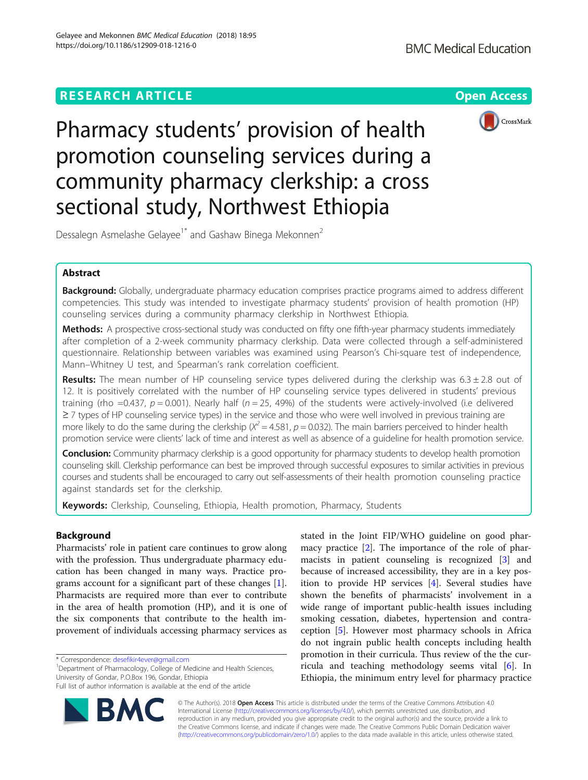# **RESEARCH ARTICLE Example 2018 12:30 The Contract of Contract ACCESS**



Pharmacy students' provision of health promotion counseling services during a community pharmacy clerkship: a cross sectional study, Northwest Ethiopia

Dessalegn Asmelashe Gelayee<sup>1\*</sup> and Gashaw Binega Mekonnen<sup>2</sup>

# Abstract

Background: Globally, undergraduate pharmacy education comprises practice programs aimed to address different competencies. This study was intended to investigate pharmacy students' provision of health promotion (HP) counseling services during a community pharmacy clerkship in Northwest Ethiopia.

Methods: A prospective cross-sectional study was conducted on fifty one fifth-year pharmacy students immediately after completion of a 2-week community pharmacy clerkship. Data were collected through a self-administered questionnaire. Relationship between variables was examined using Pearson's Chi-square test of independence, Mann–Whitney U test, and Spearman's rank correlation coefficient.

**Results:** The mean number of HP counseling service types delivered during the clerkship was  $6.3 \pm 2.8$  out of 12. It is positively correlated with the number of HP counseling service types delivered in students' previous training (rho =0.437,  $p = 0.001$ ). Nearly half ( $n = 25$ , 49%) of the students were actively-involved (i.e delivered ≥ 7 types of HP counseling service types) in the service and those who were well involved in previous training are more likely to do the same during the clerkship ( $X^2 = 4.581$ ,  $p = 0.032$ ). The main barriers perceived to hinder health promotion service were clients' lack of time and interest as well as absence of a guideline for health promotion service.

**Conclusion:** Community pharmacy clerkship is a good opportunity for pharmacy students to develop health promotion counseling skill. Clerkship performance can best be improved through successful exposures to similar activities in previous courses and students shall be encouraged to carry out self-assessments of their health promotion counseling practice against standards set for the clerkship.

Keywords: Clerkship, Counseling, Ethiopia, Health promotion, Pharmacy, Students

# Background

Pharmacists' role in patient care continues to grow along with the profession. Thus undergraduate pharmacy education has been changed in many ways. Practice programs account for a significant part of these changes [\[1](#page-5-0)]. Pharmacists are required more than ever to contribute in the area of health promotion (HP), and it is one of the six components that contribute to the health improvement of individuals accessing pharmacy services as

<sup>1</sup>Department of Pharmacology, College of Medicine and Health Sciences, University of Gondar, P.O.Box 196, Gondar, Ethiopia

Full list of author information is available at the end of the article



stated in the Joint FIP/WHO guideline on good pharmacy practice [[2\]](#page-5-0). The importance of the role of pharmacists in patient counseling is recognized [[3\]](#page-5-0) and because of increased accessibility, they are in a key position to provide HP services [[4\]](#page-5-0). Several studies have shown the benefits of pharmacists' involvement in a wide range of important public-health issues including smoking cessation, diabetes, hypertension and contraception [[5](#page-5-0)]. However most pharmacy schools in Africa do not ingrain public health concepts including health promotion in their curricula. Thus review of the the curricula and teaching methodology seems vital [\[6](#page-5-0)]. In Ethiopia, the minimum entry level for pharmacy practice

© The Author(s). 2018 Open Access This article is distributed under the terms of the Creative Commons Attribution 4.0 International License [\(http://creativecommons.org/licenses/by/4.0/](http://creativecommons.org/licenses/by/4.0/)), which permits unrestricted use, distribution, and reproduction in any medium, provided you give appropriate credit to the original author(s) and the source, provide a link to the Creative Commons license, and indicate if changes were made. The Creative Commons Public Domain Dedication waiver [\(http://creativecommons.org/publicdomain/zero/1.0/](http://creativecommons.org/publicdomain/zero/1.0/)) applies to the data made available in this article, unless otherwise stated.

<sup>\*</sup> Correspondence: [desefikir4ever@gmail.com](mailto:desefikir4ever@gmail.com) <sup>1</sup>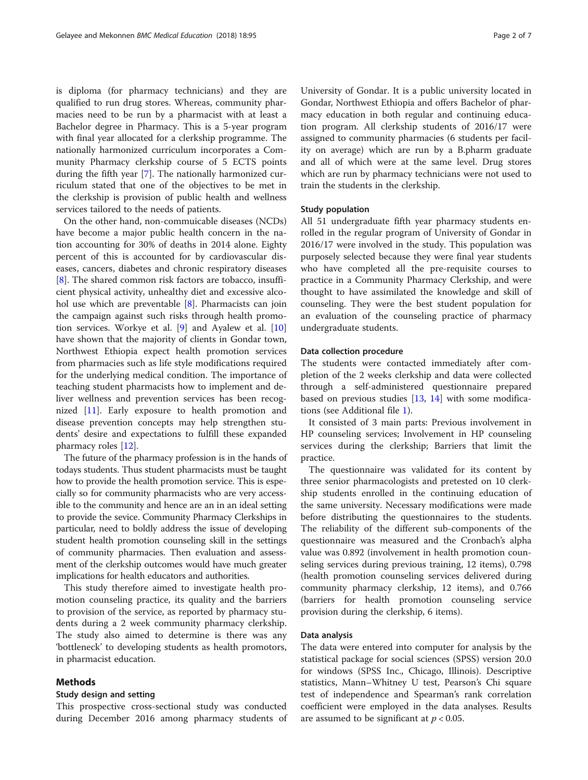is diploma (for pharmacy technicians) and they are qualified to run drug stores. Whereas, community pharmacies need to be run by a pharmacist with at least a Bachelor degree in Pharmacy. This is a 5-year program with final year allocated for a clerkship programme. The nationally harmonized curriculum incorporates a Community Pharmacy clerkship course of 5 ECTS points during the fifth year [\[7\]](#page-5-0). The nationally harmonized curriculum stated that one of the objectives to be met in the clerkship is provision of public health and wellness services tailored to the needs of patients.

On the other hand, non-commuicable diseases (NCDs) have become a major public health concern in the nation accounting for 30% of deaths in 2014 alone. Eighty percent of this is accounted for by cardiovascular diseases, cancers, diabetes and chronic respiratory diseases [[8\]](#page-5-0). The shared common risk factors are tobacco, insufficient physical activity, unhealthy diet and excessive alcohol use which are preventable [[8\]](#page-5-0). Pharmacists can join the campaign against such risks through health promotion services. Workye et al. [\[9](#page-5-0)] and Ayalew et al. [[10](#page-5-0)] have shown that the majority of clients in Gondar town, Northwest Ethiopia expect health promotion services from pharmacies such as life style modifications required for the underlying medical condition. The importance of teaching student pharmacists how to implement and deliver wellness and prevention services has been recognized [\[11\]](#page-5-0). Early exposure to health promotion and disease prevention concepts may help strengthen students' desire and expectations to fulfill these expanded pharmacy roles [\[12](#page-5-0)].

The future of the pharmacy profession is in the hands of todays students. Thus student pharmacists must be taught how to provide the health promotion service. This is especially so for community pharmacists who are very accessible to the community and hence are an in an ideal setting to provide the sevice. Community Pharmacy Clerkships in particular, need to boldly address the issue of developing student health promotion counseling skill in the settings of community pharmacies. Then evaluation and assessment of the clerkship outcomes would have much greater implications for health educators and authorities.

This study therefore aimed to investigate health promotion counseling practice, its quality and the barriers to provision of the service, as reported by pharmacy students during a 2 week community pharmacy clerkship. The study also aimed to determine is there was any 'bottleneck' to developing students as health promotors, in pharmacist education.

### Methods

### Study design and setting

This prospective cross-sectional study was conducted during December 2016 among pharmacy students of University of Gondar. It is a public university located in Gondar, Northwest Ethiopia and offers Bachelor of pharmacy education in both regular and continuing education program. All clerkship students of 2016/17 were assigned to community pharmacies (6 students per facility on average) which are run by a B.pharm graduate and all of which were at the same level. Drug stores which are run by pharmacy technicians were not used to train the students in the clerkship.

## Study population

All 51 undergraduate fifth year pharmacy students enrolled in the regular program of University of Gondar in 2016/17 were involved in the study. This population was purposely selected because they were final year students who have completed all the pre-requisite courses to practice in a Community Pharmacy Clerkship, and were thought to have assimilated the knowledge and skill of counseling. They were the best student population for an evaluation of the counseling practice of pharmacy undergraduate students.

### Data collection procedure

The students were contacted immediately after completion of the 2 weeks clerkship and data were collected through a self-administered questionnaire prepared based on previous studies  $[13, 14]$  $[13, 14]$  $[13, 14]$  $[13, 14]$  with some modifications (see Additional file [1\)](#page-5-0).

It consisted of 3 main parts: Previous involvement in HP counseling services; Involvement in HP counseling services during the clerkship; Barriers that limit the practice.

The questionnaire was validated for its content by three senior pharmacologists and pretested on 10 clerkship students enrolled in the continuing education of the same university. Necessary modifications were made before distributing the questionnaires to the students. The reliability of the different sub-components of the questionnaire was measured and the Cronbach's alpha value was 0.892 (involvement in health promotion counseling services during previous training, 12 items), 0.798 (health promotion counseling services delivered during community pharmacy clerkship, 12 items), and 0.766 (barriers for health promotion counseling service provision during the clerkship, 6 items).

### Data analysis

The data were entered into computer for analysis by the statistical package for social sciences (SPSS) version 20.0 for windows (SPSS Inc., Chicago, Illinois). Descriptive statistics, Mann–Whitney U test, Pearson's Chi square test of independence and Spearman's rank correlation coefficient were employed in the data analyses. Results are assumed to be significant at  $p < 0.05$ .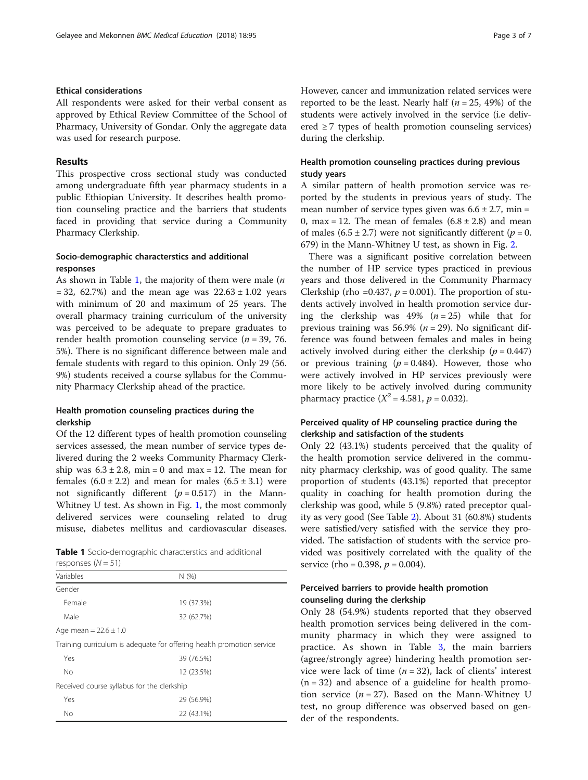# Ethical considerations

All respondents were asked for their verbal consent as approved by Ethical Review Committee of the School of Pharmacy, University of Gondar. Only the aggregate data was used for research purpose.

# Results

This prospective cross sectional study was conducted among undergraduate fifth year pharmacy students in a public Ethiopian University. It describes health promotion counseling practice and the barriers that students faced in providing that service during a Community Pharmacy Clerkship.

# Socio-demographic characterstics and additional responses

As shown in Table 1, the majority of them were male  $(n)$  $= 32, 62.7\%)$  and the mean age was  $22.63 \pm 1.02$  years with minimum of 20 and maximum of 25 years. The overall pharmacy training curriculum of the university was perceived to be adequate to prepare graduates to render health promotion counseling service ( $n = 39, 76$ . 5%). There is no significant difference between male and female students with regard to this opinion. Only 29 (56. 9%) students received a course syllabus for the Community Pharmacy Clerkship ahead of the practice.

# Health promotion counseling practices during the clerkship

Of the 12 different types of health promotion counseling services assessed, the mean number of service types delivered during the 2 weeks Community Pharmacy Clerkship was  $6.3 \pm 2.8$ , min = 0 and max = 12. The mean for females  $(6.0 \pm 2.2)$  and mean for males  $(6.5 \pm 3.1)$  were not significantly different  $(p = 0.517)$  in the Mann-Whitney U test. As shown in Fig. [1](#page-3-0), the most commonly delivered services were counseling related to drug misuse, diabetes mellitus and cardiovascular diseases.

| <b>Table 1</b> Socio-demographic characterstics and additional |  |  |
|----------------------------------------------------------------|--|--|
| responses $(N=51)$                                             |  |  |

| N(%                                                                   |
|-----------------------------------------------------------------------|
|                                                                       |
| 19 (37.3%)                                                            |
| 32 (62.7%)                                                            |
|                                                                       |
| Training curriculum is adequate for offering health promotion service |
| 39 (76.5%)                                                            |
| 12 (23.5%)                                                            |
| Received course syllabus for the clerkship                            |
| 29 (56.9%)                                                            |
| 22 (43.1%)                                                            |
|                                                                       |

However, cancer and immunization related services were reported to be the least. Nearly half ( $n = 25, 49\%$ ) of the students were actively involved in the service (i.e delivered  $\geq$  7 types of health promotion counseling services) during the clerkship.

# Health promotion counseling practices during previous study years

A similar pattern of health promotion service was reported by the students in previous years of study. The mean number of service types given was  $6.6 \pm 2.7$ , min = 0, max = 12. The mean of females  $(6.8 \pm 2.8)$  and mean of males  $(6.5 \pm 2.7)$  were not significantly different  $(p = 0.$ 679) in the Mann-Whitney U test, as shown in Fig. [2](#page-3-0).

There was a significant positive correlation between the number of HP service types practiced in previous years and those delivered in the Community Pharmacy Clerkship (rho = 0.437,  $p = 0.001$ ). The proportion of students actively involved in health promotion service during the clerkship was 49%  $(n = 25)$  while that for previous training was 56.9% ( $n = 29$ ). No significant difference was found between females and males in being actively involved during either the clerkship  $(p = 0.447)$ or previous training  $(p = 0.484)$ . However, those who were actively involved in HP services previously were more likely to be actively involved during community pharmacy practice ( $X^2 = 4.581$ ,  $p = 0.032$ ).

# Perceived quality of HP counseling practice during the clerkship and satisfaction of the students

Only 22 (43.1%) students perceived that the quality of the health promotion service delivered in the community pharmacy clerkship, was of good quality. The same proportion of students (43.1%) reported that preceptor quality in coaching for health promotion during the clerkship was good, while 5 (9.8%) rated preceptor quality as very good (See Table [2\)](#page-4-0). About 31 (60.8%) students were satisfied/very satisfied with the service they provided. The satisfaction of students with the service provided was positively correlated with the quality of the service (rho = 0.398,  $p = 0.004$ ).

# Perceived barriers to provide health promotion counseling during the clerkship

Only 28 (54.9%) students reported that they observed health promotion services being delivered in the community pharmacy in which they were assigned to practice. As shown in Table [3](#page-4-0), the main barriers (agree/strongly agree) hindering health promotion service were lack of time  $(n = 32)$ , lack of clients' interest  $(n = 32)$  and absence of a guideline for health promotion service  $(n = 27)$ . Based on the Mann-Whitney U test, no group difference was observed based on gender of the respondents.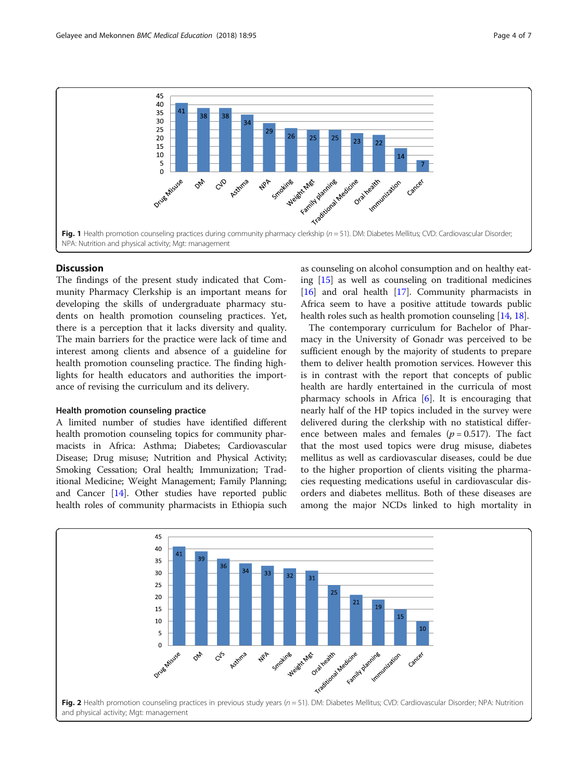<span id="page-3-0"></span>

# **Discussion**

The findings of the present study indicated that Community Pharmacy Clerkship is an important means for developing the skills of undergraduate pharmacy students on health promotion counseling practices. Yet, there is a perception that it lacks diversity and quality. The main barriers for the practice were lack of time and interest among clients and absence of a guideline for health promotion counseling practice. The finding highlights for health educators and authorities the importance of revising the curriculum and its delivery.

### Health promotion counseling practice

A limited number of studies have identified different health promotion counseling topics for community pharmacists in Africa: Asthma; Diabetes; Cardiovascular Disease; Drug misuse; Nutrition and Physical Activity; Smoking Cessation; Oral health; Immunization; Traditional Medicine; Weight Management; Family Planning; and Cancer [[14](#page-5-0)]. Other studies have reported public health roles of community pharmacists in Ethiopia such as counseling on alcohol consumption and on healthy eating [\[15\]](#page-5-0) as well as counseling on traditional medicines [[16](#page-5-0)] and oral health [\[17\]](#page-5-0). Community pharmacists in Africa seem to have a positive attitude towards public health roles such as health promotion counseling [[14](#page-5-0), [18\]](#page-5-0).

The contemporary curriculum for Bachelor of Pharmacy in the University of Gonadr was perceived to be sufficient enough by the majority of students to prepare them to deliver health promotion services. However this is in contrast with the report that concepts of public health are hardly entertained in the curricula of most pharmacy schools in Africa [\[6](#page-5-0)]. It is encouraging that nearly half of the HP topics included in the survey were delivered during the clerkship with no statistical difference between males and females ( $p = 0.517$ ). The fact that the most used topics were drug misuse, diabetes mellitus as well as cardiovascular diseases, could be due to the higher proportion of clients visiting the pharmacies requesting medications useful in cardiovascular disorders and diabetes mellitus. Both of these diseases are among the major NCDs linked to high mortality in

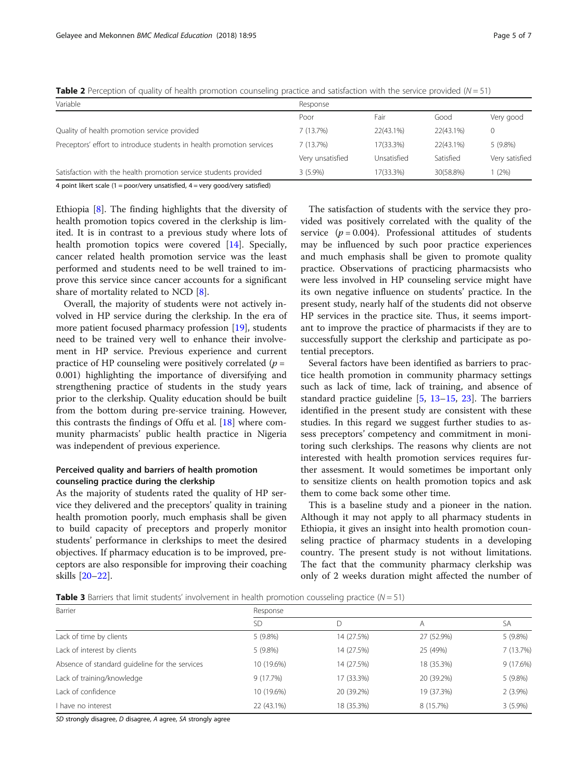<span id="page-4-0"></span>**Table 2** Perception of quality of health promotion counseling practice and satisfaction with the service provided ( $N = 51$ )

| Variable                                                                                                          | Response         |             |           |                |
|-------------------------------------------------------------------------------------------------------------------|------------------|-------------|-----------|----------------|
|                                                                                                                   | Poor             | Fair        | Good      | Very good      |
| Quality of health promotion service provided                                                                      | 7(13.7%)         | 22(43.1%)   | 22(43.1%) |                |
| Preceptors' effort to introduce students in health promotion services                                             | 7(13.7%)         | 17(33.3%)   | 22(43.1%) | $5(9.8\%)$     |
|                                                                                                                   | Very unsatisfied | Unsatisfied | Satisfied | Very satisfied |
| Satisfaction with the health promotion service students provided                                                  | $3(5.9\%)$       | 17(33.3%)   | 30(58.8%) | (2%)           |
| A point likest scale $(1 - \text{poor/var}/\text{uncatiffied}$ $A - \text{var}/\text{cood/var}/\text{cattiffed})$ |                  |             |           |                |

oint likert scale (1 = poor/very unsatisfied, 4 = very good/very satisfied

Ethiopia [[8](#page-5-0)]. The finding highlights that the diversity of health promotion topics covered in the clerkship is limited. It is in contrast to a previous study where lots of health promotion topics were covered [\[14\]](#page-5-0). Specially, cancer related health promotion service was the least performed and students need to be well trained to improve this service since cancer accounts for a significant share of mortality related to NCD [[8\]](#page-5-0).

Overall, the majority of students were not actively involved in HP service during the clerkship. In the era of more patient focused pharmacy profession [[19\]](#page-5-0), students need to be trained very well to enhance their involvement in HP service. Previous experience and current practice of HP counseling were positively correlated ( $p =$ 0.001) highlighting the importance of diversifying and strengthening practice of students in the study years prior to the clerkship. Quality education should be built from the bottom during pre-service training. However, this contrasts the findings of Offu et al. [\[18](#page-5-0)] where community pharmacists' public health practice in Nigeria was independent of previous experience.

# Perceived quality and barriers of health promotion counseling practice during the clerkship

As the majority of students rated the quality of HP service they delivered and the preceptors' quality in training health promotion poorly, much emphasis shall be given to build capacity of preceptors and properly monitor students' performance in clerkships to meet the desired objectives. If pharmacy education is to be improved, preceptors are also responsible for improving their coaching skills [[20](#page-6-0)–[22\]](#page-6-0).

The satisfaction of students with the service they provided was positively correlated with the quality of the service ( $p = 0.004$ ). Professional attitudes of students may be influenced by such poor practice experiences and much emphasis shall be given to promote quality practice. Observations of practicing pharmacsists who were less involved in HP counseling service might have its own negative influence on students' practice. In the present study, nearly half of the students did not observe HP services in the practice site. Thus, it seems important to improve the practice of pharmacists if they are to successfully support the clerkship and participate as potential preceptors.

Several factors have been identified as barriers to practice health promotion in community pharmacy settings such as lack of time, lack of training, and absence of standard practice guideline [[5,](#page-5-0) [13](#page-5-0)–[15,](#page-5-0) [23\]](#page-6-0). The barriers identified in the present study are consistent with these studies. In this regard we suggest further studies to assess preceptors' competency and commitment in monitoring such clerkships. The reasons why clients are not interested with health promotion services requires further assesment. It would sometimes be important only to sensitize clients on health promotion topics and ask them to come back some other time.

This is a baseline study and a pioneer in the nation. Although it may not apply to all pharmacy students in Ethiopia, it gives an insight into health promotion counseling practice of pharmacy students in a developing country. The present study is not without limitations. The fact that the community pharmacy clerkship was only of 2 weeks duration might affected the number of

**Table 3** Barriers that limit students' involvement in health promotion cousseling practice ( $N = 51$ )

| Barrier                                        | Response   |            |            |            |  |
|------------------------------------------------|------------|------------|------------|------------|--|
|                                                | <b>SD</b>  | D          | Α          | SA         |  |
| Lack of time by clients                        | $5(9.8\%)$ | 14 (27.5%) | 27 (52.9%) | $5(9.8\%)$ |  |
| Lack of interest by clients                    | $5(9.8\%)$ | 14 (27.5%) | 25 (49%)   | 7 (13.7%)  |  |
| Absence of standard quideline for the services | 10 (19.6%) | 14 (27.5%) | 18 (35.3%) | 9 (17.6%)  |  |
| Lack of training/knowledge                     | 9(17.7%)   | 17 (33.3%) | 20 (39.2%) | $5(9.8\%)$ |  |
| Lack of confidence                             | 10 (19.6%) | 20 (39.2%) | 19 (37.3%) | $2(3.9\%)$ |  |
| I have no interest                             | 22 (43.1%) | 18 (35.3%) | 8 (15.7%)  | $3(5.9\%)$ |  |

SD strongly disagree, D disagree, A agree, SA strongly agree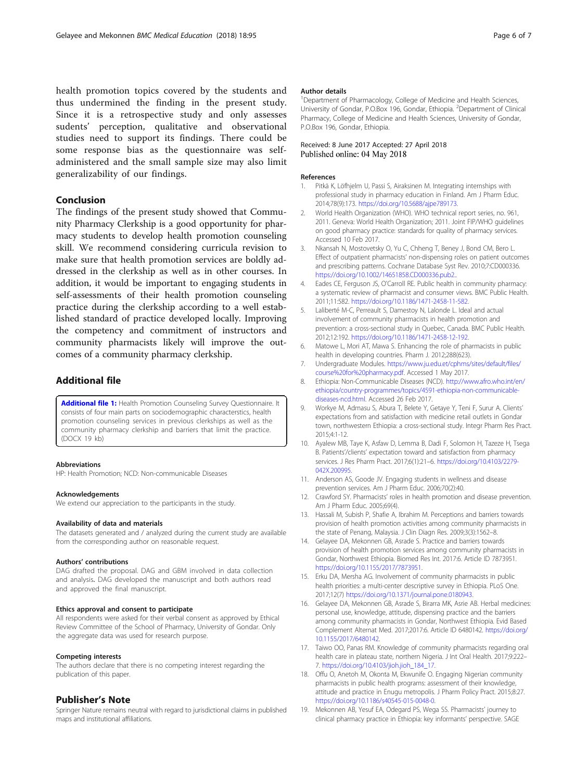<span id="page-5-0"></span>health promotion topics covered by the students and thus undermined the finding in the present study. Since it is a retrospective study and only assesses sudents' perception, qualitative and observational studies need to support its findings. There could be some response bias as the questionnaire was selfadministered and the small sample size may also limit generalizability of our findings.

## Conclusion

The findings of the present study showed that Community Pharmacy Clerkship is a good opportunity for pharmacy students to develop health promotion counseling skill. We recommend considering curricula revision to make sure that health promotion services are boldly addressed in the clerkship as well as in other courses. In addition, it would be important to engaging students in self-assessments of their health promotion counseling practice during the clerkship according to a well established standard of practice developed locally. Improving the competency and commitment of instructors and community pharmacists likely will improve the outcomes of a community pharmacy clerkship.

# Additional file

[Additional file 1:](https://doi.org/10.1186/s12909-018-1216-0) Health Promotion Counseling Survey Questionnaire. It consists of four main parts on sociodemographic characterstics, health promotion counseling services in previous clerkships as well as the community pharmacy clerkship and barriers that limit the practice. (DOCX 19 kb)

#### Abbreviations

HP: Health Promotion; NCD: Non-communicable Diseases

#### Acknowledgements

We extend our appreciation to the participants in the study.

#### Availability of data and materials

The datasets generated and / analyzed during the current study are available from the corresponding author on reasonable request.

#### Authors' contributions

DAG drafted the proposal. DAG and GBM involved in data collection and analysis. DAG developed the manuscript and both authors read and approved the final manuscript.

#### Ethics approval and consent to participate

All respondents were asked for their verbal consent as approved by Ethical Review Committee of the School of Pharmacy, University of Gondar. Only the aggregate data was used for research purpose.

#### Competing interests

The authors declare that there is no competing interest regarding the publication of this paper.

### Publisher's Note

Springer Nature remains neutral with regard to jurisdictional claims in published maps and institutional affiliations.

#### Author details

<sup>1</sup>Department of Pharmacology, College of Medicine and Health Sciences University of Gondar, P.O.Box 196, Gondar, Ethiopia. <sup>2</sup>Department of Clinical Pharmacy, College of Medicine and Health Sciences, University of Gondar, P.O.Box 196, Gondar, Ethiopia.

### Received: 8 June 2017 Accepted: 27 April 2018 Published online: 04 May 2018

### References

- Pitkä K, Löfhjelm U, Passi S, Airaksinen M. Integrating internships with professional study in pharmacy education in Finland. Am J Pharm Educ. 2014;78(9):173. [https://doi.org/10.5688/ajpe789173.](https://doi.org/10.5688/ajpe789173)
- 2. World Health Organization (WHO). WHO technical report series, no. 961, 2011. Geneva: World Health Organization; 2011. Joint FIP/WHO guidelines on good pharmacy practice: standards for quality of pharmacy services. Accessed 10 Feb 2017.
- 3. Nkansah N, Mostovetsky O, Yu C, Chheng T, Beney J, Bond CM, Bero L. Effect of outpatient pharmacists' non-dispensing roles on patient outcomes and prescribing patterns. Cochrane Database Syst Rev. 2010;7:CD000336. [https://doi.org/10.1002/14651858.CD000336.pub2..](https://doi.org/10.1002/14651858.CD000336.pub2.)
- 4. Eades CE, Ferguson JS, O'Carroll RE. Public health in community pharmacy: a systematic review of pharmacist and consumer views. BMC Public Health. 2011;11:582. [https://doi.org/10.1186/1471-2458-11-582.](https://doi.org/10.1186/1471-2458-11-582)
- 5. Laliberté M-C, Perreault S, Damestoy N, Lalonde L. Ideal and actual involvement of community pharmacists in health promotion and prevention: a cross-sectional study in Quebec, Canada. BMC Public Health. 2012;12:192. [https://doi.org/10.1186/1471-2458-12-192.](https://doi.org/10.1186/1471-2458-12-192)
- 6. Matowe L, Mori AT, Mawa S. Enhancing the role of pharmacists in public health in developing countries. Pharm J. 2012;288(623).
- 7. Undergraduate Modules. [https://www.ju.edu.et/cphms/sites/default/files/](https://www.ju.edu.et/cphms/sites/default/files/course%20for%20pharmacy.pdf) [course%20for%20pharmacy.pdf](https://www.ju.edu.et/cphms/sites/default/files/course%20for%20pharmacy.pdf). Accessed 1 May 2017.
- 8. Ethiopia: Non-Communicable Diseases (NCD). [http://www.afro.who.int/en/](http://www.afro.who.int/en/ethiopia/country-programmes/topics/4591-ethiopia-non-communicable-diseases-ncd.html) [ethiopia/country-programmes/topics/4591-ethiopia-non-communicable](http://www.afro.who.int/en/ethiopia/country-programmes/topics/4591-ethiopia-non-communicable-diseases-ncd.html)[diseases-ncd.html](http://www.afro.who.int/en/ethiopia/country-programmes/topics/4591-ethiopia-non-communicable-diseases-ncd.html). Accessed 26 Feb 2017.
- 9. Workye M, Admasu S, Abura T, Belete Y, Getaye Y, Teni F, Surur A. Clients' expectations from and satisfaction with medicine retail outlets in Gondar town, northwestern Ethiopia: a cross-sectional study. Integr Pharm Res Pract. 2015;4:1-12.
- 10. Ayalew MB, Taye K, Asfaw D, Lemma B, Dadi F, Solomon H, Tazeze H, Tsega B. Patients'/clients' expectation toward and satisfaction from pharmacy services. J Res Pharm Pract. 2017;6(1):21–6. [https://doi.org/10.4103/2279-](https://doi.org/10.4103/2279-042X.200995) [042X.200995](https://doi.org/10.4103/2279-042X.200995).
- 11. Anderson AS, Goode JV. Engaging students in wellness and disease prevention services. Am J Pharm Educ. 2006;70(2):40.
- 12. Crawford SY. Pharmacists' roles in health promotion and disease prevention. Am J Pharm Educ. 2005;69(4).
- 13. Hassali M, Subish P, Shafie A, Ibrahim M. Perceptions and barriers towards provision of health promotion activities among community pharmacists in the state of Penang, Malaysia. J Clin Diagn Res. 2009;3(3):1562–8.
- 14. Gelayee DA, Mekonnen GB, Asrade S. Practice and barriers towards provision of health promotion services among community pharmacists in Gondar, Northwest Ethiopia. Biomed Res Int. 2017:6. Article ID 7873951. [https://doi.org/10.1155/2017/7873951.](https://doi.org/10.1155/2017/7873951)
- 15. Erku DA, Mersha AG. Involvement of community pharmacists in public health priorities: a multi-center descriptive survey in Ethiopia. PLoS One. 2017;12(7) <https://doi.org/10.1371/journal.pone.0180943>.
- 16. Gelayee DA, Mekonnen GB, Asrade S, Birarra MK, Asrie AB. Herbal medicines: personal use, knowledge, attitude, dispensing practice and the barriers among community pharmacists in Gondar, Northwest Ethiopia. Evid Based Complement Alternat Med. 2017;2017:6. Article ID 6480142. [https://doi.org/](https://doi.org/10.1155/2017/6480142) [10.1155/2017/6480142.](https://doi.org/10.1155/2017/6480142)
- 17. Taiwo OO, Panas RM. Knowledge of community pharmacists regarding oral health care in plateau state, northern Nigeria. J Int Oral Health. 2017;9:222– 7. [https://doi.org/10.4103/jioh.jioh\\_184\\_17](https://doi.org/10.4103/jioh.jioh_184_17).
- 18. Offu O, Anetoh M, Okonta M, Ekwunife O. Engaging Nigerian community pharmacists in public health programs: assessment of their knowledge, attitude and practice in Enugu metropolis. J Pharm Policy Pract. 2015;8:27. <https://doi.org/10.1186/s40545-015-0048-0>.
- 19. Mekonnen AB, Yesuf EA, Odegard PS, Wega SS. Pharmacists' journey to clinical pharmacy practice in Ethiopia: key informants' perspective. SAGE